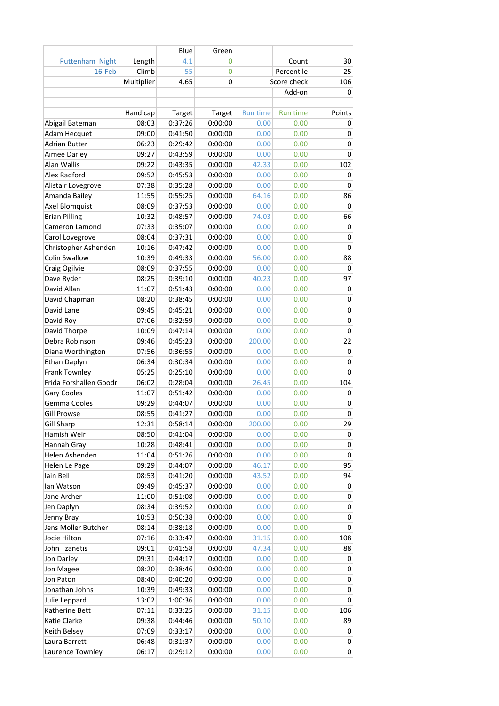|                        |            | Blue    | Green   |                 |             |              |
|------------------------|------------|---------|---------|-----------------|-------------|--------------|
| Puttenham Night        | Length     | 4.1     | 0       |                 | Count       | 30           |
| 16-Feb                 | Climb      | 55      | 0       |                 | Percentile  | 25           |
|                        | Multiplier | 4.65    | 0       |                 | Score check | 106          |
|                        |            |         |         |                 | Add-on      | 0            |
|                        |            |         |         |                 |             |              |
|                        | Handicap   | Target  | Target  | <b>Run time</b> | Run time    | Points       |
| Abigail Bateman        | 08:03      | 0:37:26 | 0:00:00 | 0.00            | 0.00        | 0            |
| Adam Hecquet           | 09:00      | 0:41:50 | 0:00:00 | 0.00            | 0.00        | 0            |
| <b>Adrian Butter</b>   | 06:23      | 0:29:42 | 0:00:00 | 0.00            | 0.00        | 0            |
| Aimee Darley           | 09:27      | 0:43:59 | 0:00:00 | 0.00            | 0.00        | 0            |
| Alan Wallis            | 09:22      | 0:43:35 | 0:00:00 | 42.33           | 0.00        | 102          |
| Alex Radford           | 09:52      | 0:45:53 | 0:00:00 | 0.00            | 0.00        | 0            |
| Alistair Lovegrove     | 07:38      | 0:35:28 | 0:00:00 | 0.00            | 0.00        | $\mathbf{0}$ |
| Amanda Bailey          | 11:55      | 0:55:25 | 0:00:00 | 64.16           | 0.00        | 86           |
| Axel Blomquist         | 08:09      | 0:37:53 | 0:00:00 | 0.00            | 0.00        | 0            |
| <b>Brian Pilling</b>   | 10:32      | 0:48:57 | 0:00:00 | 74.03           | 0.00        | 66           |
| Cameron Lamond         | 07:33      | 0:35:07 | 0:00:00 | 0.00            | 0.00        | 0            |
| Carol Lovegrove        | 08:04      | 0:37:31 | 0:00:00 | 0.00            | 0.00        | 0            |
| Christopher Ashenden   | 10:16      | 0:47:42 | 0:00:00 | 0.00            | 0.00        | 0            |
| <b>Colin Swallow</b>   | 10:39      | 0:49:33 | 0:00:00 | 56.00           | 0.00        | 88           |
| Craig Ogilvie          | 08:09      | 0:37:55 | 0:00:00 | 0.00            | 0.00        | $\mathbf{0}$ |
| Dave Ryder             | 08:25      | 0:39:10 | 0:00:00 | 40.23           | 0.00        | 97           |
| David Allan            | 11:07      | 0:51:43 | 0:00:00 | 0.00            | 0.00        | 0            |
| David Chapman          | 08:20      | 0:38:45 | 0:00:00 | 0.00            | 0.00        | 0            |
| David Lane             | 09:45      | 0:45:21 | 0:00:00 | 0.00            | 0.00        | 0            |
| David Roy              | 07:06      | 0:32:59 | 0:00:00 | 0.00            | 0.00        | 0            |
| David Thorpe           | 10:09      | 0:47:14 | 0:00:00 | 0.00            | 0.00        | 0            |
| Debra Robinson         | 09:46      | 0:45:23 | 0:00:00 | 200.00          | 0.00        | 22           |
| Diana Worthington      | 07:56      | 0:36:55 | 0:00:00 | 0.00            | 0.00        | 0            |
| Ethan Daplyn           | 06:34      | 0:30:34 | 0:00:00 | 0.00            | 0.00        | 0            |
| Frank Townley          | 05:25      | 0:25:10 | 0:00:00 | 0.00            | 0.00        | 0            |
| Frida Forshallen Goodr | 06:02      | 0:28:04 | 0:00:00 | 26.45           | 0.00        | 104          |
| Gary Cooles            | 11:07      | 0:51:42 | 0:00:00 | 0.00            | 0.00        | 0            |
| Gemma Cooles           | 09:29      | 0:44:07 | 0:00:00 | 0.00            | 0.00        | 0            |
| <b>Gill Prowse</b>     | 08:55      | 0:41:27 | 0:00:00 | 0.00            | 0.00        | 0            |
| <b>Gill Sharp</b>      | 12:31      | 0:58:14 | 0:00:00 | 200.00          | 0.00        | 29           |
| Hamish Weir            | 08:50      | 0:41:04 | 0:00:00 | 0.00            | 0.00        | 0            |
| Hannah Gray            | 10:28      | 0:48:41 | 0:00:00 | 0.00            | 0.00        | 0            |
| Helen Ashenden         | 11:04      | 0:51:26 | 0:00:00 | 0.00            | 0.00        | 0            |
| Helen Le Page          | 09:29      | 0:44:07 | 0:00:00 | 46.17           | 0.00        | 95           |
| lain Bell              | 08:53      | 0:41:20 | 0:00:00 | 43.52           | 0.00        | 94           |
| lan Watson             | 09:49      | 0:45:37 | 0:00:00 | 0.00            | 0.00        | 0            |
| Jane Archer            | 11:00      | 0:51:08 | 0:00:00 | 0.00            | 0.00        | 0            |
| Jen Daplyn             | 08:34      | 0:39:52 | 0:00:00 | 0.00            | 0.00        | 0            |
| Jenny Bray             | 10:53      | 0:50:38 | 0:00:00 | 0.00            | 0.00        | 0            |
| Jens Moller Butcher    | 08:14      | 0:38:18 | 0:00:00 | 0.00            | 0.00        | 0            |
| Jocie Hilton           | 07:16      | 0:33:47 | 0:00:00 | 31.15           | 0.00        | 108          |
| John Tzanetis          | 09:01      | 0:41:58 | 0:00:00 | 47.34           | 0.00        | 88           |
| Jon Darley             | 09:31      | 0:44:17 | 0:00:00 | 0.00            | 0.00        | 0            |
| Jon Magee              | 08:20      | 0:38:46 | 0:00:00 | 0.00            | 0.00        | 0            |
| Jon Paton              | 08:40      | 0:40:20 | 0:00:00 | 0.00            | 0.00        | 0            |
| Jonathan Johns         | 10:39      | 0:49:33 | 0:00:00 | 0.00            | 0.00        | 0            |
| Julie Leppard          | 13:02      | 1:00:36 | 0:00:00 | 0.00            | 0.00        | 0            |
| Katherine Bett         | 07:11      | 0:33:25 | 0:00:00 | 31.15           | 0.00        | 106          |
| Katie Clarke           | 09:38      | 0:44:46 | 0:00:00 | 50.10           | 0.00        | 89           |
| Keith Belsey           | 07:09      | 0:33:17 | 0:00:00 | 0.00            | 0.00        | 0            |
| Laura Barrett          | 06:48      | 0:31:37 | 0:00:00 | 0.00            | 0.00        | 0            |
| Laurence Townley       | 06:17      | 0:29:12 | 0:00:00 | 0.00            | 0.00        | 0            |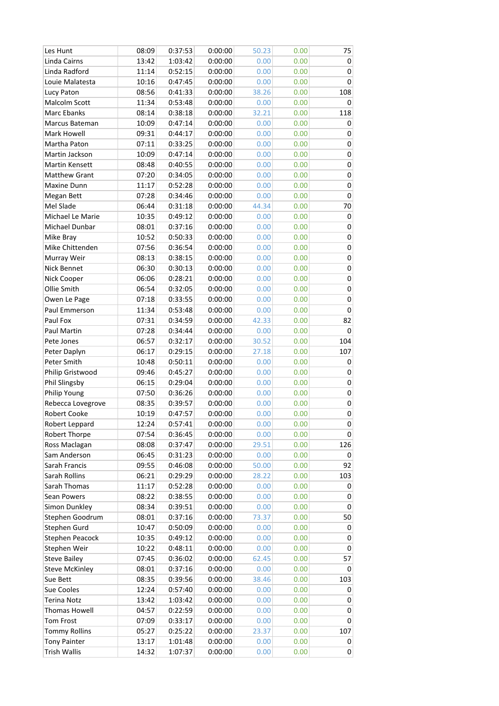| Les Hunt               | 08:09 | 0:37:53 | 0:00:00 | 50.23 | 0.00 | 75        |
|------------------------|-------|---------|---------|-------|------|-----------|
| Linda Cairns           | 13:42 | 1:03:42 | 0:00:00 | 0.00  | 0.00 | 0         |
| Linda Radford          | 11:14 | 0:52:15 | 0:00:00 | 0.00  | 0.00 | 0         |
| Louie Malatesta        | 10:16 | 0:47:45 | 0:00:00 | 0.00  | 0.00 | 0         |
| Lucy Paton             | 08:56 | 0:41:33 | 0:00:00 | 38.26 | 0.00 | 108       |
| Malcolm Scott          | 11:34 | 0:53:48 | 0:00:00 | 0.00  | 0.00 | 0         |
| Marc Ebanks            | 08:14 | 0:38:18 | 0:00:00 | 32.21 | 0.00 | 118       |
| Marcus Bateman         | 10:09 | 0:47:14 | 0:00:00 | 0.00  | 0.00 | 0         |
| Mark Howell            | 09:31 | 0:44:17 | 0:00:00 | 0.00  | 0.00 | 0         |
| Martha Paton           | 07:11 | 0:33:25 | 0:00:00 | 0.00  | 0.00 | 0         |
| Martin Jackson         | 10:09 | 0:47:14 | 0:00:00 | 0.00  | 0.00 | 0         |
| Martin Kensett         | 08:48 | 0:40:55 | 0:00:00 | 0.00  | 0.00 | 0         |
| <b>Matthew Grant</b>   | 07:20 | 0:34:05 | 0:00:00 | 0.00  | 0.00 | 0         |
| Maxine Dunn            | 11:17 | 0:52:28 | 0:00:00 | 0.00  | 0.00 | 0         |
| Megan Bett             | 07:28 | 0:34:46 | 0:00:00 | 0.00  | 0.00 | $\pmb{0}$ |
| Mel Slade              | 06:44 | 0:31:18 | 0:00:00 | 44.34 | 0.00 | 70        |
| Michael Le Marie       | 10:35 | 0:49:12 | 0:00:00 | 0.00  | 0.00 | 0         |
| Michael Dunbar         | 08:01 | 0:37:16 | 0:00:00 | 0.00  | 0.00 | 0         |
| Mike Bray              | 10:52 | 0:50:33 | 0:00:00 | 0.00  | 0.00 | 0         |
| Mike Chittenden        | 07:56 | 0:36:54 | 0:00:00 | 0.00  | 0.00 | 0         |
| Murray Weir            | 08:13 | 0:38:15 | 0:00:00 | 0.00  | 0.00 | $\pmb{0}$ |
| Nick Bennet            | 06:30 | 0:30:13 | 0:00:00 | 0.00  | 0.00 | $\pmb{0}$ |
| Nick Cooper            | 06:06 | 0:28:21 | 0:00:00 | 0.00  | 0.00 | $\pmb{0}$ |
| Ollie Smith            | 06:54 | 0:32:05 | 0:00:00 | 0.00  | 0.00 | 0         |
| Owen Le Page           | 07:18 | 0:33:55 | 0:00:00 | 0.00  | 0.00 | 0         |
| Paul Emmerson          | 11:34 | 0:53:48 | 0:00:00 | 0.00  | 0.00 | 0         |
| Paul Fox               | 07:31 | 0:34:59 | 0:00:00 | 42.33 | 0.00 | 82        |
| Paul Martin            | 07:28 | 0:34:44 | 0:00:00 | 0.00  | 0.00 | 0         |
| Pete Jones             | 06:57 | 0:32:17 | 0:00:00 | 30.52 | 0.00 | 104       |
| Peter Daplyn           | 06:17 | 0:29:15 | 0:00:00 | 27.18 | 0.00 | 107       |
| Peter Smith            | 10:48 | 0:50:11 | 0:00:00 | 0.00  | 0.00 | 0         |
| Philip Gristwood       | 09:46 | 0:45:27 | 0:00:00 | 0.00  | 0.00 | 0         |
| Phil Slingsby          | 06:15 | 0:29:04 | 0:00:00 | 0.00  | 0.00 | 0         |
| Philip Young           | 07:50 | 0:36:26 | 0:00:00 | 0.00  | 0.00 | 0         |
| Rebecca Lovegrove      | 08:35 | 0:39:57 | 0:00:00 | 0.00  | 0.00 | 0         |
| Robert Cooke           | 10:19 | 0:47:57 | 0:00:00 | 0.00  | 0.00 | 0         |
| Robert Leppard         | 12:24 | 0:57:41 | 0:00:00 | 0.00  | 0.00 | 0         |
| Robert Thorpe          | 07:54 | 0:36:45 | 0:00:00 | 0.00  | 0.00 | 0         |
| Ross Maclagan          | 08:08 | 0:37:47 | 0:00:00 | 29.51 | 0.00 | 126       |
| Sam Anderson           | 06:45 | 0:31:23 | 0:00:00 | 0.00  | 0.00 | 0         |
| Sarah Francis          | 09:55 | 0:46:08 | 0:00:00 | 50.00 | 0.00 | 92        |
| Sarah Rollins          | 06:21 | 0:29:29 | 0:00:00 | 28.22 | 0.00 | 103       |
| Sarah Thomas           | 11:17 | 0:52:28 | 0:00:00 | 0.00  | 0.00 | 0         |
| Sean Powers            | 08:22 | 0:38:55 | 0:00:00 | 0.00  | 0.00 | 0         |
| Simon Dunkley          | 08:34 | 0:39:51 | 0:00:00 | 0.00  | 0.00 | 0         |
| Stephen Goodrum        | 08:01 | 0:37:16 | 0:00:00 | 73.37 | 0.00 | 50        |
| Stephen Gurd           | 10:47 | 0:50:09 | 0:00:00 | 0.00  | 0.00 | 0         |
| <b>Stephen Peacock</b> | 10:35 | 0:49:12 | 0:00:00 | 0.00  | 0.00 | 0         |
| Stephen Weir           | 10:22 | 0:48:11 | 0:00:00 | 0.00  | 0.00 | 0         |
| <b>Steve Bailey</b>    | 07:45 | 0:36:02 | 0:00:00 | 62.45 | 0.00 | 57        |
| <b>Steve McKinley</b>  | 08:01 | 0:37:16 | 0:00:00 | 0.00  | 0.00 | 0         |
| Sue Bett               | 08:35 | 0:39:56 | 0:00:00 | 38.46 | 0.00 | 103       |
| Sue Cooles             | 12:24 | 0:57:40 | 0:00:00 | 0.00  | 0.00 | 0         |
| <b>Terina Notz</b>     | 13:42 | 1:03:42 | 0:00:00 | 0.00  | 0.00 | 0         |
| <b>Thomas Howell</b>   | 04:57 | 0:22:59 | 0:00:00 | 0.00  | 0.00 | 0         |
| Tom Frost              | 07:09 | 0:33:17 | 0:00:00 | 0.00  | 0.00 | 0         |
| <b>Tommy Rollins</b>   | 05:27 | 0:25:22 | 0:00:00 | 23.37 | 0.00 | 107       |
| <b>Tony Painter</b>    | 13:17 | 1:01:48 | 0:00:00 | 0.00  | 0.00 | 0         |
| <b>Trish Wallis</b>    | 14:32 | 1:07:37 | 0:00:00 | 0.00  | 0.00 | 0         |